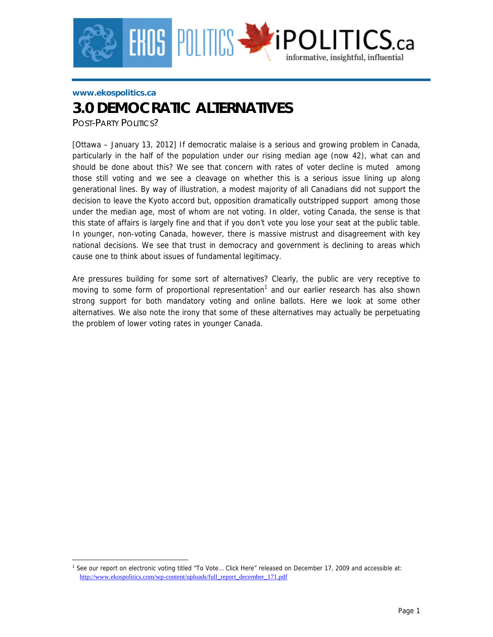

## **www.ekospolitics.ca**

## *3.0 DEMOCRATIC ALTERNATIVES*

*POST-PARTY POLITICS?* 

 $\overline{a}$ 

[Ottawa – January 13, 2012] If democratic malaise is a serious and growing problem in Canada, particularly in the half of the population under our rising median age (now 42), what can and should be done about this? We see that concern with rates of voter decline is muted among those still voting and we see a cleavage on whether this is a serious issue lining up along generational lines. By way of illustration, a modest majority of all Canadians did not support the decision to leave the Kyoto accord but, opposition dramatically outstripped support among those under the median age, most of whom are not voting. In older, voting Canada, the sense is that this state of affairs is largely fine and that if you don't vote you lose your seat at the public table. In younger, non-voting Canada, however, there is massive mistrust and disagreement with key national decisions. We see that trust in democracy and government is declining to areas which cause one to think about issues of fundamental legitimacy.

Are pressures building for some sort of alternatives? Clearly, the public are very receptive to moving to some form of proportional representation<sup>[1](#page-0-0)</sup> and our earlier research has also shown strong support for both mandatory voting and online ballots. Here we look at some other alternatives. We also note the irony that some of these alternatives may actually be perpetuating the problem of lower voting rates in younger Canada.

<span id="page-0-0"></span><sup>&</sup>lt;sup>1</sup> See our report on electronic voting titled "To Vote... Click Here" released on December 17, 2009 and accessible at: [http://www.ekospolitics.com/wp-content/uploads/full\\_report\\_december\\_171.pdf](http://www.ekospolitics.com/wp-content/uploads/full_report_december_171.pdf)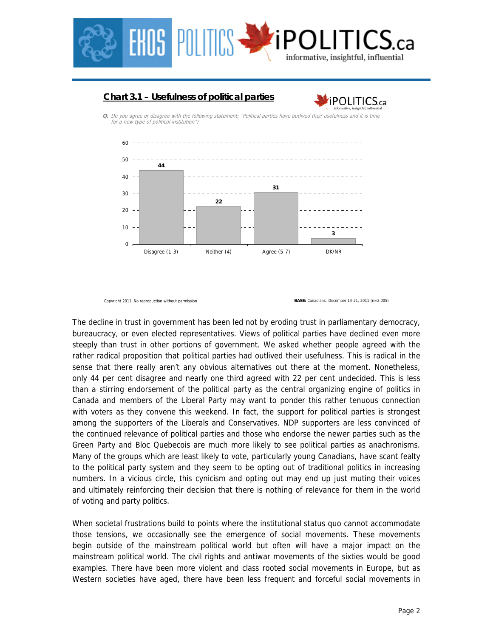

## **Chart 3.1 – Usefulness of political parties**



**Q.** Do you agree or disagree with the following statement: "Political parties have outlived their usefulness and it is time for a new type of political institution"?



**BASE:** Canadians; December 14-21, 2011 (n=2,005)

The decline in trust in government has been led not by eroding trust in parliamentary democracy, bureaucracy, or even elected representatives. Views of political parties have declined even more steeply than trust in other portions of government. We asked whether people agreed with the rather radical proposition that political parties had outlived their usefulness. This is radical in the sense that there really aren't any obvious alternatives out there at the moment. Nonetheless, only 44 per cent disagree and nearly one third agreed with 22 per cent undecided. This is less than a stirring endorsement of the political party as the central organizing engine of politics in Canada and members of the Liberal Party may want to ponder this rather tenuous connection with voters as they convene this weekend. In fact, the support for political parties is strongest among the supporters of the Liberals and Conservatives. NDP supporters are less convinced of the continued relevance of political parties and those who endorse the newer parties such as the Green Party and Bloc Quebecois are much more likely to see political parties as anachronisms. Many of the groups which are least likely to vote, particularly young Canadians, have scant fealty to the political party system and they seem to be opting out of traditional politics in increasing numbers. In a vicious circle, this cynicism and opting out may end up just muting their voices and ultimately reinforcing their decision that there is nothing of relevance for them in the world of voting and party politics.

When societal frustrations build to points where the institutional status quo cannot accommodate those tensions, we occasionally see the emergence of social movements. These movements begin outside of the mainstream political world but often will have a major impact on the mainstream political world. The civil rights and antiwar movements of the sixties would be good examples. There have been more violent and class rooted social movements in Europe, but as Western societies have aged, there have been less frequent and forceful social movements in

Copyright 2011. No reproduction without permission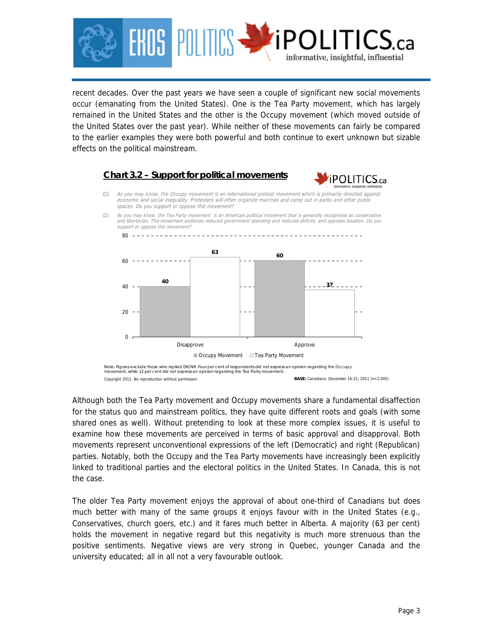

recent decades. Over the past years we have seen a couple of significant new social movements occur (emanating from the United States). One is the Tea Party movement, which has largely remained in the United States and the other is the Occupy movement (which moved outside of the United States over the past year). While neither of these movements can fairly be compared to the earlier examples they were both powerful and both continue to exert unknown but sizable effects on the political mainstream.





- Q1. As you may know, the Occupy movement is an international protest movement which is primarily directed against economic and social inequality. Protesters will often organize marches and camp out in parks and other public spaces. Do you support or oppose this movement?
- Q2. As you may know, the Tea Party movement is an American political movement that is generally recognised as conservative and libertarian. The movement endorses reduced government spending and reduced deficits, and opposes taxation. Do you support or oppose this movement?



Copyright 2011. No reproduction without permission **BASE:** Canadians; December 14-21, 2011 (n=2,005) Note: Figures exclude those who replied DK/NR. Four per cent of respondents did not express an opinion regarding the Occupy<br>movement, while 12 per cent did not express an opinion regarding the Tea Party movement.

Although both the Tea Party movement and Occupy movements share a fundamental disaffection for the status quo and mainstream politics, they have quite different roots and goals (with some shared ones as well). Without pretending to look at these more complex issues, it is useful to examine how these movements are perceived in terms of basic approval and disapproval. Both movements represent unconventional expressions of the left (Democratic) and right (Republican) parties. Notably, both the Occupy and the Tea Party movements have increasingly been explicitly linked to traditional parties and the electoral politics in the United States. In Canada, this is not the case.

The older Tea Party movement enjoys the approval of about one-third of Canadians but does much better with many of the same groups it enjoys favour with in the United States (e.g., Conservatives, church goers, etc.) and it fares much better in Alberta. A majority (63 per cent) holds the movement in negative regard but this negativity is much more strenuous than the positive sentiments. Negative views are very strong in Quebec, younger Canada and the university educated; all in all not a very favourable outlook.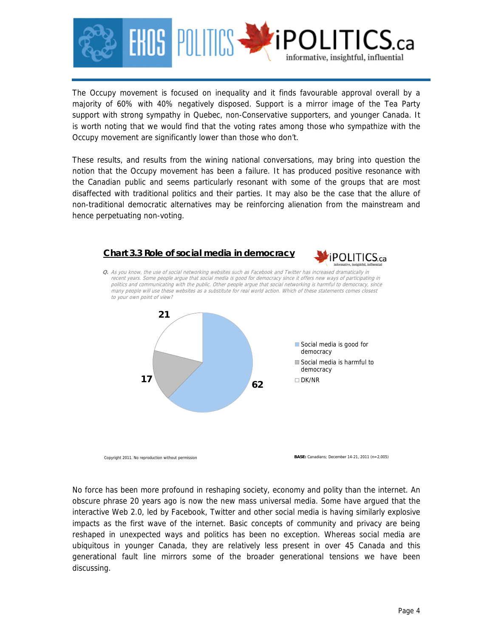

The Occupy movement is focused on inequality and it finds favourable approval overall by a majority of 60% with 40% negatively disposed. Support is a mirror image of the Tea Party support with strong sympathy in Quebec, non-Conservative supporters, and younger Canada. It is worth noting that we would find that the voting rates among those who sympathize with the Occupy movement are significantly lower than those who don't.

These results, and results from the wining national conversations, may bring into question the notion that the Occupy movement has been a failure. It has produced positive resonance with the Canadian public and seems particularly resonant with some of the groups that are most disaffected with traditional politics and their parties. It may also be the case that the allure of non-traditional democratic alternatives may be reinforcing alienation from the mainstream and hence perpetuating non-voting.



No force has been more profound in reshaping society, economy and polity than the internet. An obscure phrase 20 years ago is now the new mass universal media. Some have argued that the interactive Web 2.0, led by Facebook, Twitter and other social media is having similarly explosive impacts as the first wave of the internet. Basic concepts of community and privacy are being reshaped in unexpected ways and politics has been no exception. Whereas social media are ubiquitous in younger Canada, they are relatively less present in over 45 Canada and this generational fault line mirrors some of the broader generational tensions we have been discussing.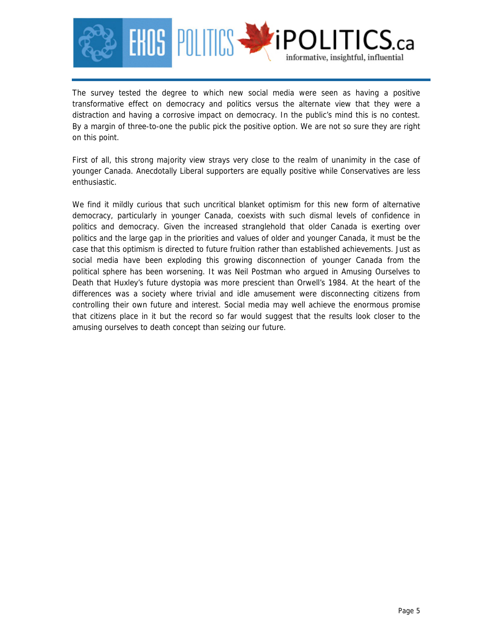

The survey tested the degree to which new social media were seen as having a positive transformative effect on democracy and politics versus the alternate view that they were a distraction and having a corrosive impact on democracy. In the public's mind this is no contest. By a margin of three-to-one the public pick the positive option. We are not so sure they are right on this point.

First of all, this strong majority view strays very close to the realm of unanimity in the case of younger Canada. Anecdotally Liberal supporters are equally positive while Conservatives are less enthusiastic.

We find it mildly curious that such uncritical blanket optimism for this new form of alternative democracy, particularly in younger Canada, coexists with such dismal levels of confidence in politics and democracy. Given the increased stranglehold that older Canada is exerting over politics and the large gap in the priorities and values of older and younger Canada, it must be the case that this optimism is directed to future fruition rather than established achievements. Just as social media have been exploding this growing disconnection of younger Canada from the political sphere has been worsening. It was Neil Postman who argued in Amusing Ourselves to Death that Huxley's future dystopia was more prescient than Orwell's 1984. At the heart of the differences was a society where trivial and idle amusement were disconnecting citizens from controlling their own future and interest. Social media may well achieve the enormous promise that citizens place in it but the record so far would suggest that the results look closer to the amusing ourselves to death concept than seizing our future.